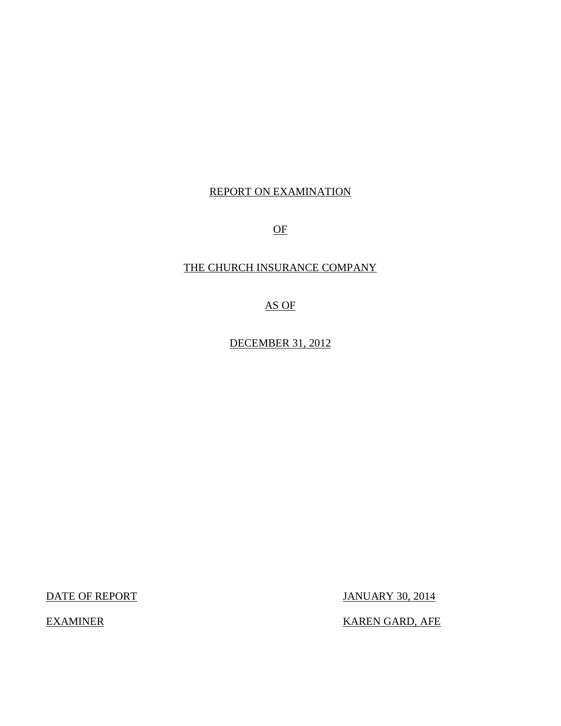## REPORT ON EXAMINATION

OF

## THE CHURCH INSURANCE COMPANY

AS OF

DECEMBER 31, 2012

DATE OF REPORT JANUARY 30, 2014

EXAMINER KAREN GARD, AFE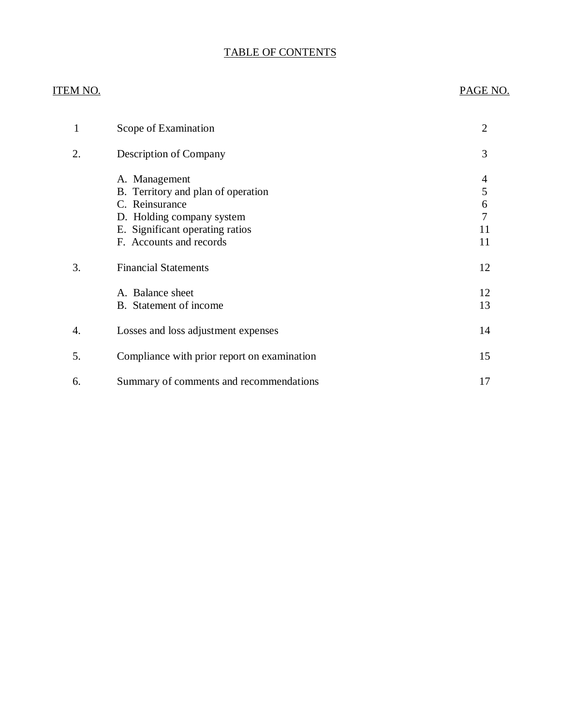## TABLE OF CONTENTS

## ITEM NO. PAGE NO.

| 1  | Scope of Examination                                                                                                                                             | $\overline{2}$               |
|----|------------------------------------------------------------------------------------------------------------------------------------------------------------------|------------------------------|
| 2. | Description of Company                                                                                                                                           | 3                            |
|    | A. Management<br>B. Territory and plan of operation<br>C. Reinsurance<br>D. Holding company system<br>E. Significant operating ratios<br>F. Accounts and records | 4<br>5<br>6<br>7<br>11<br>11 |
| 3. | <b>Financial Statements</b>                                                                                                                                      | 12                           |
|    | A. Balance sheet<br>B. Statement of income                                                                                                                       | 12<br>13                     |
| 4. | Losses and loss adjustment expenses                                                                                                                              | 14                           |
| 5. | Compliance with prior report on examination                                                                                                                      | 15                           |
| 6. | Summary of comments and recommendations                                                                                                                          | 17                           |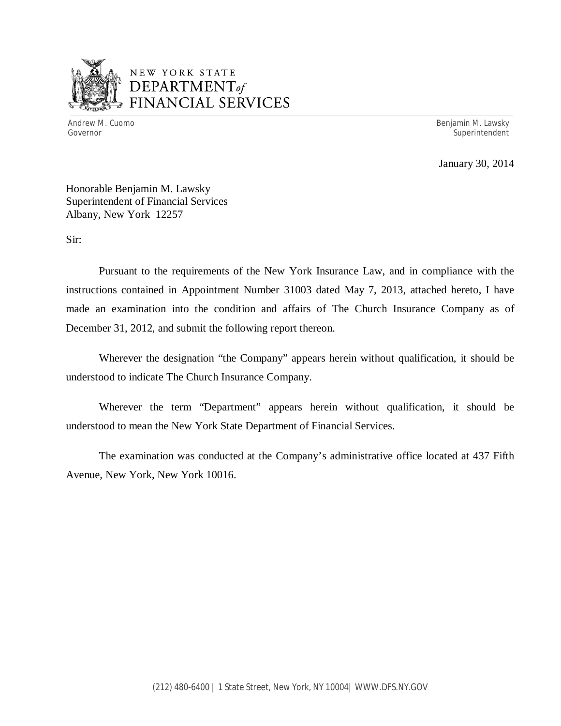

## NEW YORK STATE *DEPARTMENTof*  FINANCIAL SERVICES

Andrew M. Cuomo **Benjamin M. Lawsky** Governor Superintendent Superintendent Superintendent Superintendent Superintendent Superintendent Superintendent

January 30, 2014

Honorable Benjamin M. Lawsky Superintendent of Financial Services Albany, New York 12257

Sir:

Pursuant to the requirements of the New York Insurance Law, and in compliance with the instructions contained in Appointment Number 31003 dated May 7, 2013, attached hereto, I have made an examination into the condition and affairs of The Church Insurance Company as of December 31, 2012, and submit the following report thereon.

Wherever the designation "the Company" appears herein without qualification, it should be understood to indicate The Church Insurance Company.

Wherever the term "Department" appears herein without qualification, it should be understood to mean the New York State Department of Financial Services.

The examination was conducted at the Company's administrative office located at 437 Fifth Avenue, New York, New York 10016.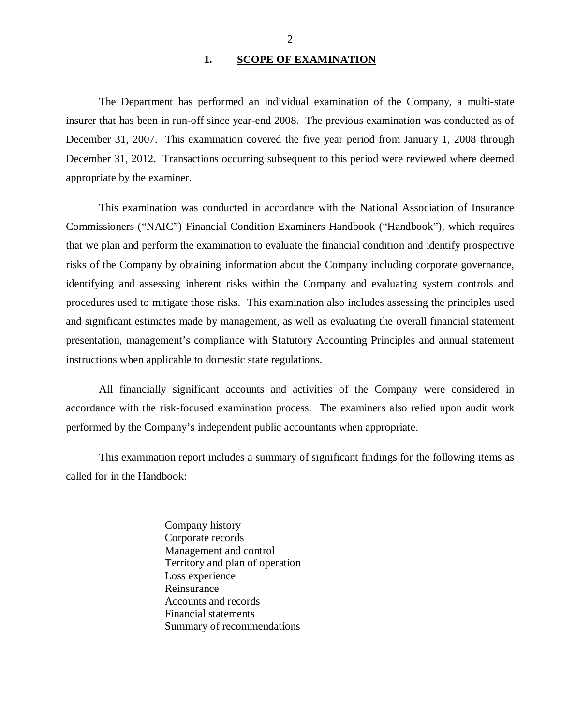#### 1. SCOPE OF EXAMINATION

<span id="page-3-0"></span>The Department has performed an individual examination of the Company*,* a multi-state insurer that has been in run-off since year-end 2008. The previous examination was conducted as of December 31, 2007. This examination covered the five year period from January 1, 2008 through December 31, 2012. Transactions occurring subsequent to this period were reviewed where deemed appropriate by the examiner.

This examination was conducted in accordance with the National Association of Insurance Commissioners ("NAIC") Financial Condition Examiners Handbook ("Handbook"), which requires that we plan and perform the examination to evaluate the financial condition and identify prospective risks of the Company by obtaining information about the Company including corporate governance, identifying and assessing inherent risks within the Company and evaluating system controls and procedures used to mitigate those risks. This examination also includes assessing the principles used and significant estimates made by management, as well as evaluating the overall financial statement presentation, management's compliance with Statutory Accounting Principles and annual statement instructions when applicable to domestic state regulations.

All financially significant accounts and activities of the Company were considered in accordance with the risk-focused examination process. The examiners also relied upon audit work performed by the Company's independent public accountants when appropriate.

This examination report includes a summary of significant findings for the following items as called for in the Handbook:

> Company history Corporate records Management and control Territory and plan of operation Loss experience Reinsurance Accounts and records Financial statements Summary of recommendations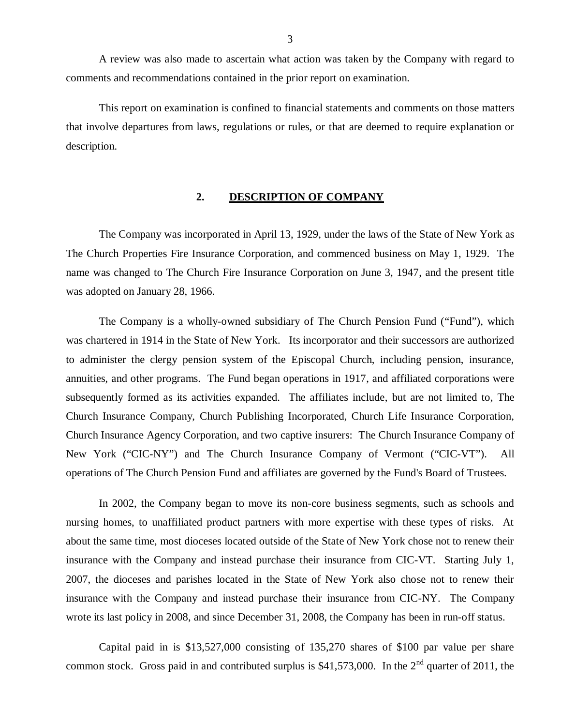<span id="page-4-0"></span>A review was also made to ascertain what action was taken by the Company with regard to comments and recommendations contained in the prior report on examination.

This report on examination is confined to financial statements and comments on those matters that involve departures from laws, regulations or rules, or that are deemed to require explanation or description.

#### **2. DESCRIPTION OF COMPANY**

The Company was incorporated in April 13, 1929, under the laws of the State of New York as The Church Properties Fire Insurance Corporation, and commenced business on May 1, 1929. The name was changed to The Church Fire Insurance Corporation on June 3, 1947, and the present title was adopted on January 28, 1966.

The Company is a wholly-owned subsidiary of The Church Pension Fund ("Fund"), which was chartered in 1914 in the State of New York. Its incorporator and their successors are authorized to administer the clergy pension system of the Episcopal Church, including pension, insurance, annuities, and other programs. The Fund began operations in 1917, and affiliated corporations were subsequently formed as its activities expanded. The affiliates include, but are not limited to, The Church Insurance Company, Church Publishing Incorporated, Church Life Insurance Corporation, Church Insurance Agency Corporation, and two captive insurers: The Church Insurance Company of New York ("CIC-NY") and The Church Insurance Company of Vermont ("CIC-VT"). All operations of The Church Pension Fund and affiliates are governed by the Fund's Board of Trustees.

In 2002, the Company began to move its non-core business segments, such as schools and nursing homes, to unaffiliated product partners with more expertise with these types of risks. At about the same time, most dioceses located outside of the State of New York chose not to renew their insurance with the Company and instead purchase their insurance from CIC-VT. Starting July 1, 2007, the dioceses and parishes located in the State of New York also chose not to renew their insurance with the Company and instead purchase their insurance from CIC-NY. The Company wrote its last policy in 2008, and since December 31, 2008, the Company has been in run-off status.

Capital paid in is \$13,527,000 consisting of 135,270 shares of \$100 par value per share common stock. Gross paid in and contributed surplus is  $$41,573,000$ . In the  $2<sup>nd</sup>$  quarter of 2011, the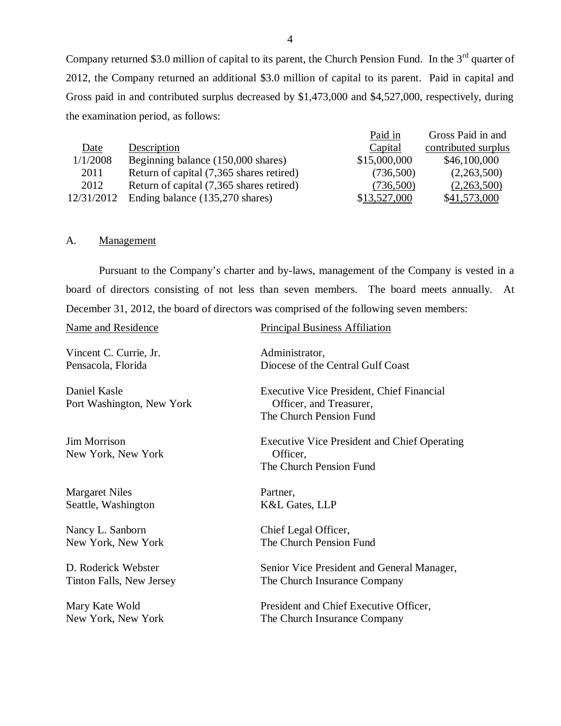Company returned \$3.0 million of capital to its parent, the Church Pension Fund. In the 3<sup>rd</sup> quarter of 2012, the Company returned an additional \$3.0 million of capital to its parent. Paid in capital and Gross paid in and contributed surplus decreased by \$1,473,000 and \$4,527,000, respectively, during the examination period, as follows:

|            |                                          | Paid in      | Gross Paid in and   |
|------------|------------------------------------------|--------------|---------------------|
| Date       | Description                              | Capital      | contributed surplus |
| 1/1/2008   | Beginning balance (150,000 shares)       | \$15,000,000 | \$46,100,000        |
| 2011       | Return of capital (7,365 shares retired) | (736,500)    | (2,263,500)         |
| 2012       | Return of capital (7,365 shares retired) | (736,500)    | (2,263,500)         |
| 12/31/2012 | Ending balance (135,270 shares)          | \$13,527,000 | \$41,573,000        |

#### A. Management

Pursuant to the Company's charter and by-laws, management of the Company is vested in a board of directors consisting of not less than seven members. The board meets annually. At December 31, 2012, the board of directors was comprised of the following seven members:

Vincent C. Currie, Jr. Administrator,

Port Washington, New York Officer, and Treasurer,

New York, New York **Officer**,

Margaret Niles Partner, Seattle, Washington K&L Gates, LLP

Nancy L. Sanborn Chief Legal Officer,

Name and Residence Principal Business Affiliation

Pensacola, Florida Diocese of the Central Gulf Coast

Daniel Kasle Executive Vice President, Chief Financial The Church Pension Fund

Jim Morrison Executive Vice President and Chief Operating The Church Pension Fund

New York, New York The Church Pension Fund

D. Roderick Webster Senior Vice President and General Manager, Tinton Falls, New Jersey The Church Insurance Company

Mary Kate Wold President and Chief Executive Officer, New York, New York The Church Insurance Company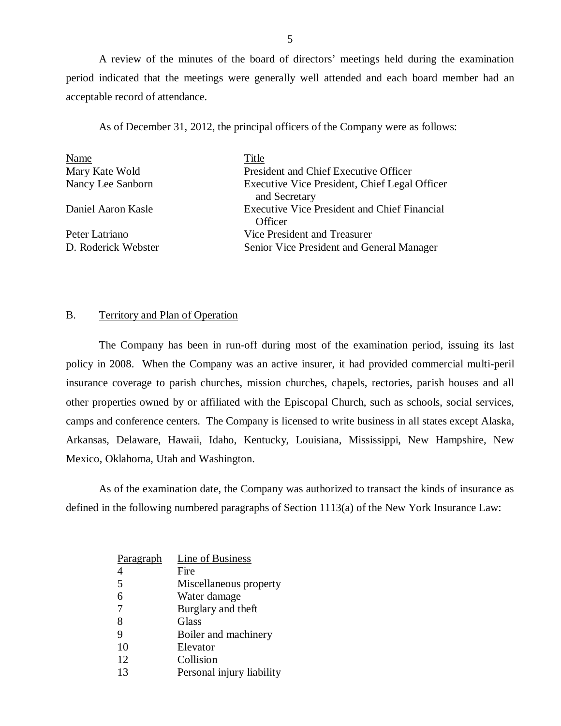<span id="page-6-0"></span>A review of the minutes of the board of directors' meetings held during the examination period indicated that the meetings were generally well attended and each board member had an acceptable record of attendance.

As of December 31, 2012, the principal officers of the Company were as follows:

| Name                | Title                                                          |
|---------------------|----------------------------------------------------------------|
| Mary Kate Wold      | President and Chief Executive Officer                          |
| Nancy Lee Sanborn   | Executive Vice President, Chief Legal Officer<br>and Secretary |
| Daniel Aaron Kasle  | <b>Executive Vice President and Chief Financial</b><br>Officer |
| Peter Latriano      | Vice President and Treasurer                                   |
| D. Roderick Webster | Senior Vice President and General Manager                      |

#### B. Territory and Plan of Operation

The Company has been in run-off during most of the examination period, issuing its last policy in 2008. When the Company was an active insurer, it had provided commercial multi-peril insurance coverage to parish churches, mission churches, chapels, rectories, parish houses and all other properties owned by or affiliated with the Episcopal Church, such as schools, social services, camps and conference centers. The Company is licensed to write business in all states except Alaska, Arkansas, Delaware, Hawaii, Idaho, Kentucky, Louisiana, Mississippi, New Hampshire, New Mexico, Oklahoma, Utah and Washington.

As of the examination date, the Company was authorized to transact the kinds of insurance as defined in the following numbered paragraphs of Section 1113(a) of the New York Insurance Law:

| Paragraph      | Line of Business          |
|----------------|---------------------------|
|                | Fire                      |
| 5              | Miscellaneous property    |
| 6              | Water damage              |
| $\overline{7}$ | Burglary and theft        |
| 8              | Glass                     |
| 9              | Boiler and machinery      |
| 10             | Elevator                  |
| 12             | Collision                 |
| 13             | Personal injury liability |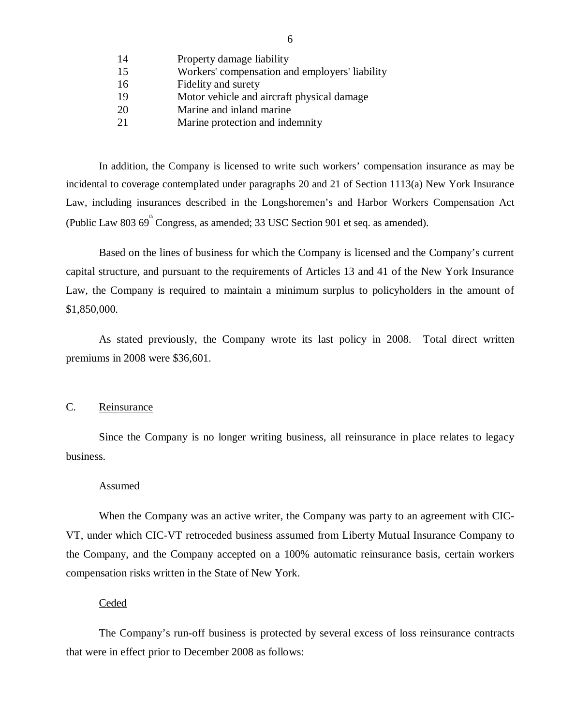- <span id="page-7-0"></span>14 Property damage liability
- 15 Workers' compensation and employers' liability
- 16 Fidelity and surety
- 19 Motor vehicle and aircraft physical damage
- 20 Marine and inland marine
- 21 Marine protection and indemnity

In addition, the Company is licensed to write such workers' compensation insurance as may be incidental to coverage contemplated under paragraphs 20 and 21 of Section 1113(a) New York Insurance Law, including insurances described in the Longshoremen's and Harbor Workers Compensation Act (Public Law 803  $69^{\text{th}}$  Congress, as amended; 33 USC Section 901 et seq. as amended).

Based on the lines of business for which the Company is licensed and the Company's current capital structure, and pursuant to the requirements of Articles 13 and 41 of the New York Insurance Law, the Company is required to maintain a minimum surplus to policyholders in the amount of \$1,850,000.

As stated previously, the Company wrote its last policy in 2008. Total direct written premiums in 2008 were \$36,601.

### C. Reinsurance

Since the Company is no longer writing business, all reinsurance in place relates to legacy business.

#### Assumed

When the Company was an active writer, the Company was party to an agreement with CIC-VT, under which CIC-VT retroceded business assumed from Liberty Mutual Insurance Company to the Company, and the Company accepted on a 100% automatic reinsurance basis, certain workers compensation risks written in the State of New York.

### **Ceded**

The Company's run-off business is protected by several excess of loss reinsurance contracts that were in effect prior to December 2008 as follows: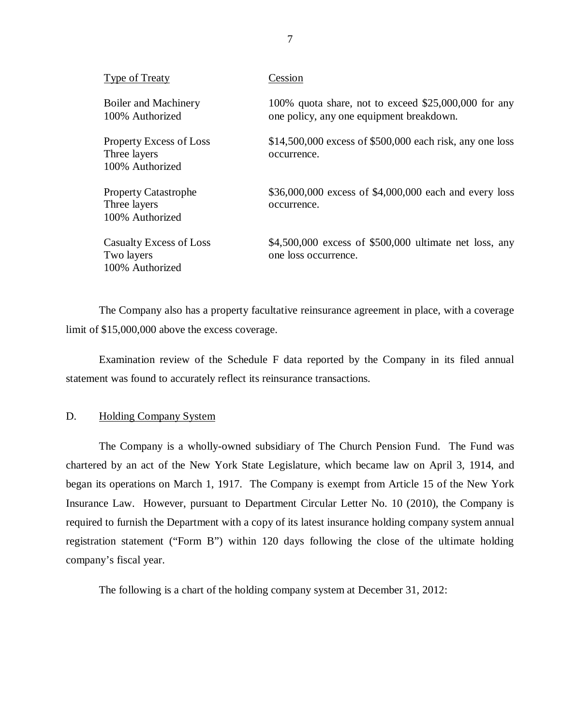| <b>Type of Treaty</b>                                             | Cession                                                                                           |
|-------------------------------------------------------------------|---------------------------------------------------------------------------------------------------|
| Boiler and Machinery<br>100% Authorized                           | 100% quota share, not to exceed $$25,000,000$ for any<br>one policy, any one equipment breakdown. |
| <b>Property Excess of Loss</b><br>Three layers<br>100% Authorized | $$14,500,000$ excess of \$500,000 each risk, any one loss<br>occurrence.                          |
| <b>Property Catastrophe</b><br>Three layers<br>100% Authorized    | \$36,000,000 excess of \$4,000,000 each and every loss<br>occurrence.                             |
| Casualty Excess of Loss<br>Two layers<br>100% Authorized          | $$4,500,000$ excess of \$500,000 ultimate net loss, any<br>one loss occurrence.                   |

The Company also has a property facultative reinsurance agreement in place, with a coverage limit of \$15,000,000 above the excess coverage.

Examination review of the Schedule F data reported by the Company in its filed annual statement was found to accurately reflect its reinsurance transactions.

#### D. Holding Company System

The Company is a wholly-owned subsidiary of The Church Pension Fund. The Fund was chartered by an act of the New York State Legislature, which became law on April 3, 1914, and began its operations on March 1, 1917. The Company is exempt from Article 15 of the New York Insurance Law. However, pursuant to Department Circular Letter No. 10 (2010), the Company is required to furnish the Department with a copy of its latest insurance holding company system annual registration statement ("Form B") within 120 days following the close of the ultimate holding company's fiscal year.

The following is a chart of the holding company system at December 31, 2012:

7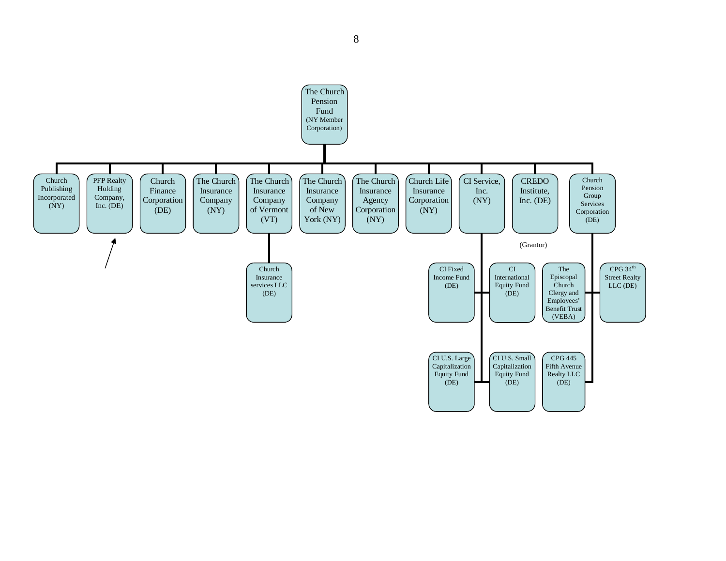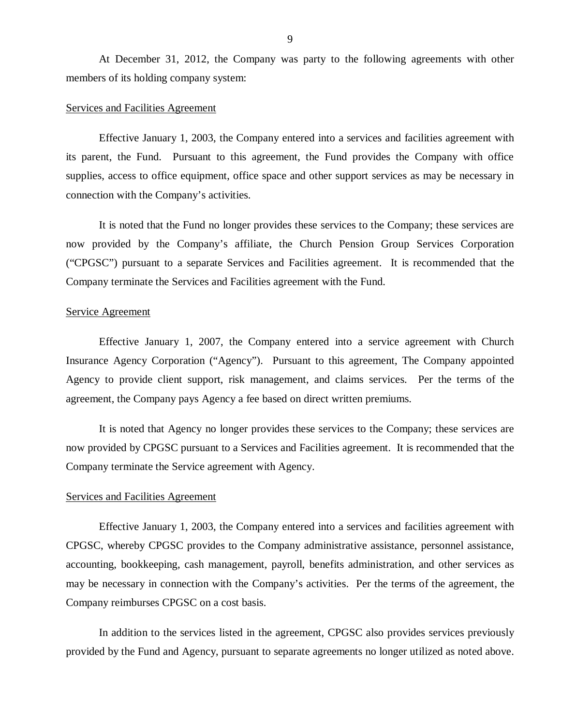At December 31, 2012, the Company was party to the following agreements with other members of its holding company system:

#### Services and Facilities Agreement

Effective January 1, 2003, the Company entered into a services and facilities agreement with its parent, the Fund. Pursuant to this agreement, the Fund provides the Company with office supplies, access to office equipment, office space and other support services as may be necessary in connection with the Company's activities.

It is noted that the Fund no longer provides these services to the Company; these services are now provided by the Company's affiliate, the Church Pension Group Services Corporation ("CPGSC") pursuant to a separate Services and Facilities agreement. It is recommended that the Company terminate the Services and Facilities agreement with the Fund.

#### Service Agreement

Effective January 1, 2007, the Company entered into a service agreement with Church Insurance Agency Corporation ("Agency"). Pursuant to this agreement, The Company appointed Agency to provide client support, risk management, and claims services. Per the terms of the agreement, the Company pays Agency a fee based on direct written premiums.

It is noted that Agency no longer provides these services to the Company; these services are now provided by CPGSC pursuant to a Services and Facilities agreement. It is recommended that the Company terminate the Service agreement with Agency.

#### Services and Facilities Agreement

Effective January 1, 2003, the Company entered into a services and facilities agreement with CPGSC, whereby CPGSC provides to the Company administrative assistance, personnel assistance, accounting, bookkeeping, cash management, payroll, benefits administration, and other services as may be necessary in connection with the Company's activities. Per the terms of the agreement, the Company reimburses CPGSC on a cost basis.

In addition to the services listed in the agreement, CPGSC also provides services previously provided by the Fund and Agency, pursuant to separate agreements no longer utilized as noted above.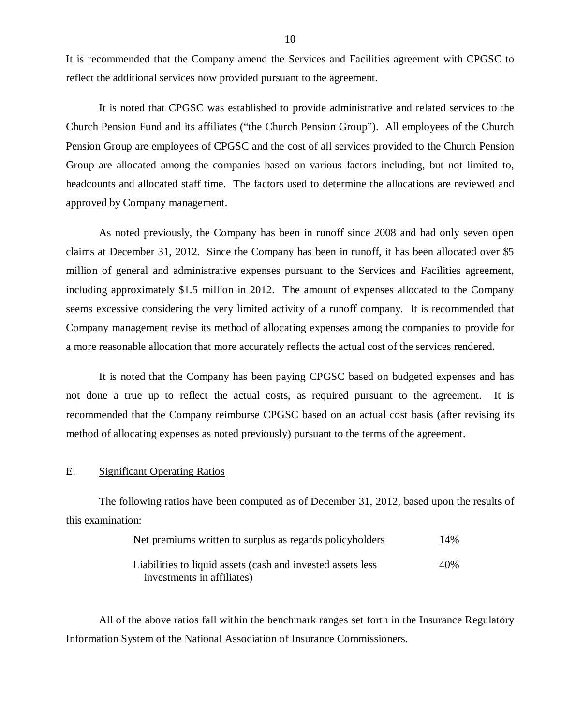It is recommended that the Company amend the Services and Facilities agreement with CPGSC to reflect the additional services now provided pursuant to the agreement.

It is noted that CPGSC was established to provide administrative and related services to the Church Pension Fund and its affiliates ("the Church Pension Group"). All employees of the Church Pension Group are employees of CPGSC and the cost of all services provided to the Church Pension Group are allocated among the companies based on various factors including, but not limited to, headcounts and allocated staff time. The factors used to determine the allocations are reviewed and approved by Company management.

As noted previously, the Company has been in runoff since 2008 and had only seven open claims at December 31, 2012. Since the Company has been in runoff, it has been allocated over \$5 million of general and administrative expenses pursuant to the Services and Facilities agreement, including approximately \$1.5 million in 2012. The amount of expenses allocated to the Company seems excessive considering the very limited activity of a runoff company. It is recommended that Company management revise its method of allocating expenses among the companies to provide for a more reasonable allocation that more accurately reflects the actual cost of the services rendered.

It is noted that the Company has been paying CPGSC based on budgeted expenses and has not done a true up to reflect the actual costs, as required pursuant to the agreement. It is recommended that the Company reimburse CPGSC based on an actual cost basis (after revising its method of allocating expenses as noted previously) pursuant to the terms of the agreement.

### E. Significant Operating Ratios

The following ratios have been computed as of December 31, 2012, based upon the results of this examination:

| Net premiums written to surplus as regards policyholders                                  | 14% |
|-------------------------------------------------------------------------------------------|-----|
| Liabilities to liquid assets (cash and invested assets less<br>investments in affiliates) | 40% |

All of the above ratios fall within the benchmark ranges set forth in the Insurance Regulatory Information System of the National Association of Insurance Commissioners.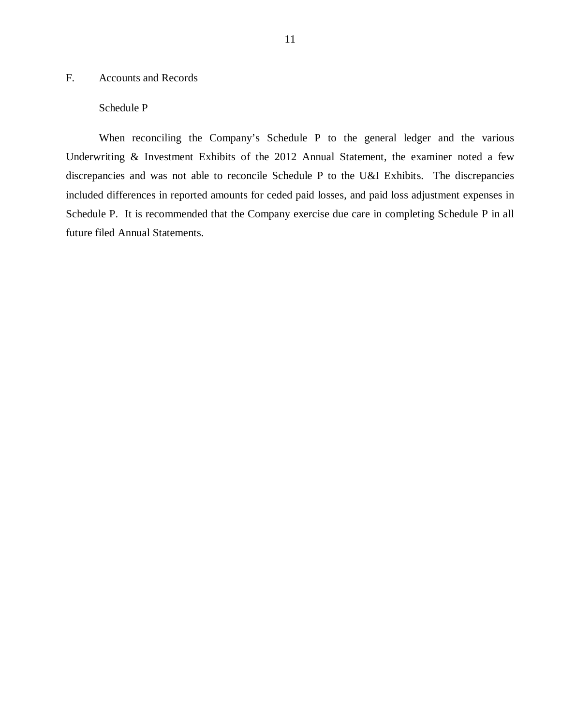## <span id="page-12-0"></span>F. Accounts and Records

## Schedule P

When reconciling the Company's Schedule P to the general ledger and the various Underwriting & Investment Exhibits of the 2012 Annual Statement, the examiner noted a few discrepancies and was not able to reconcile Schedule P to the U&I Exhibits. The discrepancies included differences in reported amounts for ceded paid losses, and paid loss adjustment expenses in Schedule P. It is recommended that the Company exercise due care in completing Schedule P in all future filed Annual Statements.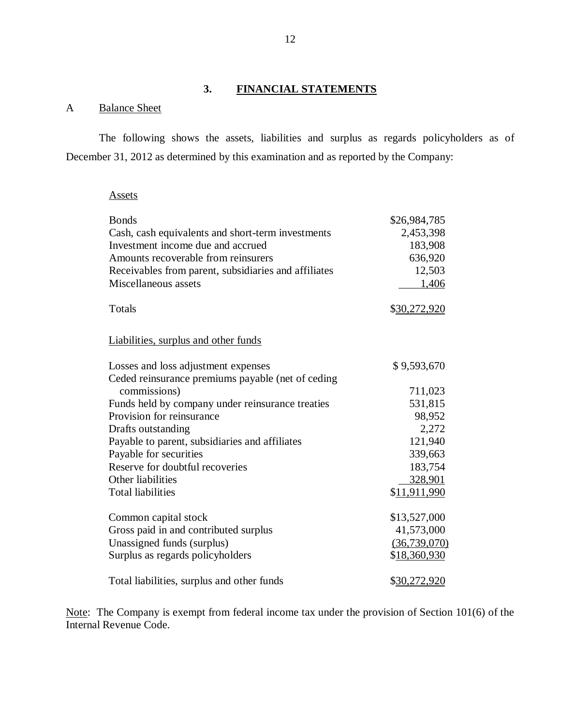## **3. FINANCIAL STATEMENTS**

## A Balance Sheet

The following shows the assets, liabilities and surplus as regards policyholders as of December 31, 2012 as determined by this examination and as reported by the Company:

#### **Assets**

| <b>Bonds</b>                                         | \$26,984,785         |
|------------------------------------------------------|----------------------|
| Cash, cash equivalents and short-term investments    | 2,453,398            |
| Investment income due and accrued                    | 183,908              |
| Amounts recoverable from reinsurers                  | 636,920              |
| Receivables from parent, subsidiaries and affiliates | 12,503               |
| Miscellaneous assets                                 | 1,406                |
| Totals                                               | \$30,272,920         |
| Liabilities, surplus and other funds                 |                      |
| Losses and loss adjustment expenses                  | \$9,593,670          |
| Ceded reinsurance premiums payable (net of ceding    |                      |
| commissions)                                         | 711,023              |
| Funds held by company under reinsurance treaties     | 531,815              |
| Provision for reinsurance                            | 98,952               |
| Drafts outstanding                                   | 2,272                |
| Payable to parent, subsidiaries and affiliates       | 121,940              |
| Payable for securities                               | 339,663              |
| Reserve for doubtful recoveries                      | 183,754              |
| Other liabilities                                    | 328,901              |
| <b>Total liabilities</b>                             | \$11,911,990         |
| Common capital stock                                 | \$13,527,000         |
| Gross paid in and contributed surplus                | 41,573,000           |
| Unassigned funds (surplus)                           | (36, 739, 070)       |
| Surplus as regards policyholders                     | \$18,360,930         |
| Total liabilities, surplus and other funds           | \$ <u>30,272,920</u> |

Note: The Company is exempt from federal income tax under the provision of Section 101(6) of the Internal Revenue Code.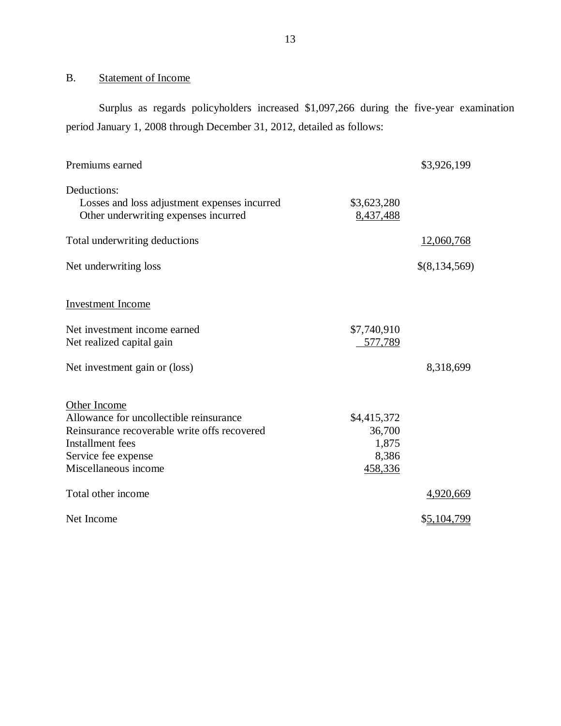## B. Statement of Income

Surplus as regards policyholders increased \$1,097,266 during the five-year examination period January 1, 2008 through December 31, 2012, detailed as follows:

| Premiums earned                                                                                     |                          | \$3,926,199   |
|-----------------------------------------------------------------------------------------------------|--------------------------|---------------|
| Deductions:<br>Losses and loss adjustment expenses incurred<br>Other underwriting expenses incurred | \$3,623,280<br>8,437,488 |               |
| Total underwriting deductions                                                                       |                          | 12,060,768    |
|                                                                                                     |                          |               |
| Net underwriting loss                                                                               |                          | \$(8,134,569) |
| <b>Investment Income</b>                                                                            |                          |               |
| Net investment income earned<br>Net realized capital gain                                           | \$7,740,910<br>577,789   |               |
| Net investment gain or (loss)                                                                       |                          | 8,318,699     |
| Other Income                                                                                        |                          |               |
| Allowance for uncollectible reinsurance                                                             | \$4,415,372              |               |
| Reinsurance recoverable write offs recovered                                                        | 36,700                   |               |
| Installment fees                                                                                    | 1,875                    |               |
| Service fee expense                                                                                 | 8,386                    |               |
| Miscellaneous income                                                                                | 458,336                  |               |
| Total other income                                                                                  |                          | 4,920,669     |
| Net Income                                                                                          |                          | \$5,104,799   |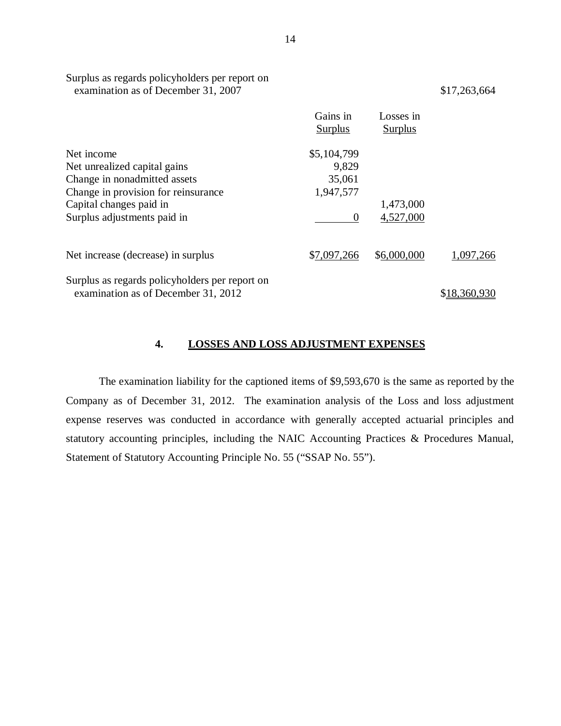| examination as of December 31, 2007                                                   |                            |                             | \$17,263,664 |
|---------------------------------------------------------------------------------------|----------------------------|-----------------------------|--------------|
|                                                                                       | Gains in<br><b>Surplus</b> | Losses in<br><b>Surplus</b> |              |
| Net income                                                                            | \$5,104,799                |                             |              |
| Net unrealized capital gains                                                          | 9,829                      |                             |              |
| Change in nonadmitted assets                                                          | 35,061                     |                             |              |
| Change in provision for reinsurance                                                   | 1,947,577                  |                             |              |
| Capital changes paid in                                                               |                            | 1,473,000                   |              |
| Surplus adjustments paid in                                                           | $\theta$                   | 4,527,000                   |              |
| Net increase (decrease) in surplus                                                    | \$7,097,266                | \$6,000,000                 | 1,097,266    |
| Surplus as regards policyholders per report on<br>examination as of December 31, 2012 |                            |                             | \$18,360,930 |
|                                                                                       |                            |                             |              |

#### **4. LOSSES AND LOSS ADJUSTMENT EXPENSES**

The examination liability for the captioned items of \$9,593,670 is the same as reported by the Company as of December 31, 2012. The examination analysis of the Loss and loss adjustment expense reserves was conducted in accordance with generally accepted actuarial principles and statutory accounting principles, including the NAIC Accounting Practices & Procedures Manual, Statement of Statutory Accounting Principle No. 55 ("SSAP No. 55").

Surplus as regards policyholders per report on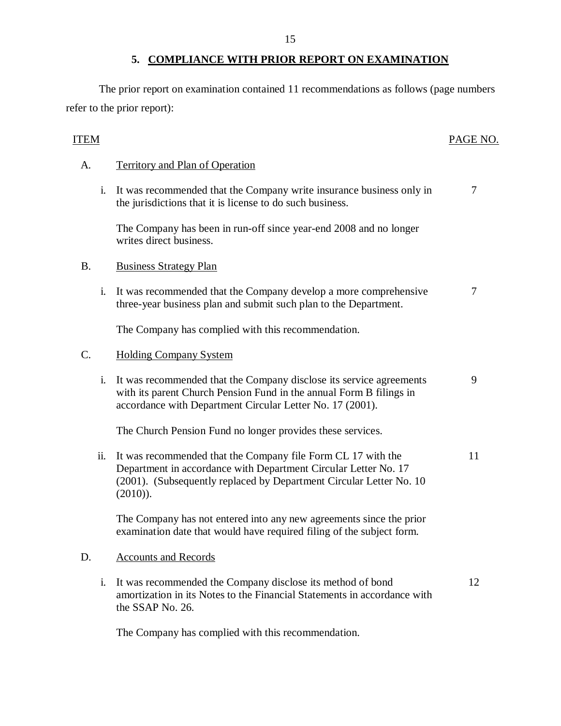## **5. COMPLIANCE WITH PRIOR REPORT ON EXAMINATION**

<span id="page-16-0"></span>The prior report on examination contained 11 recommendations as follows (page numbers refer to the prior report):

| <b>ITEM</b> |                                                                                                                                                                                                                       | PAGE NO. |
|-------------|-----------------------------------------------------------------------------------------------------------------------------------------------------------------------------------------------------------------------|----------|
| A.          | <b>Territory and Plan of Operation</b>                                                                                                                                                                                |          |
| i.          | It was recommended that the Company write insurance business only in<br>the jurisdictions that it is license to do such business.                                                                                     | 7        |
|             | The Company has been in run-off since year-end 2008 and no longer<br>writes direct business.                                                                                                                          |          |
| <b>B.</b>   | <b>Business Strategy Plan</b>                                                                                                                                                                                         |          |
| i.          | It was recommended that the Company develop a more comprehensive<br>three-year business plan and submit such plan to the Department.                                                                                  | 7        |
|             | The Company has complied with this recommendation.                                                                                                                                                                    |          |
| C.          | <b>Holding Company System</b>                                                                                                                                                                                         |          |
| i.          | It was recommended that the Company disclose its service agreements<br>with its parent Church Pension Fund in the annual Form B filings in<br>accordance with Department Circular Letter No. 17 (2001).               | 9        |
|             | The Church Pension Fund no longer provides these services.                                                                                                                                                            |          |
| ii.         | It was recommended that the Company file Form CL 17 with the<br>Department in accordance with Department Circular Letter No. 17<br>(2001). (Subsequently replaced by Department Circular Letter No. 10<br>$(2010)$ ). | 11       |
|             | The Company has not entered into any new agreements since the prior<br>examination date that would have required filing of the subject form.                                                                          |          |
| D.          | <b>Accounts and Records</b>                                                                                                                                                                                           |          |
| i.          | It was recommended the Company disclose its method of bond<br>amortization in its Notes to the Financial Statements in accordance with<br>the SSAP No. 26.                                                            | 12       |
|             |                                                                                                                                                                                                                       |          |

The Company has complied with this recommendation.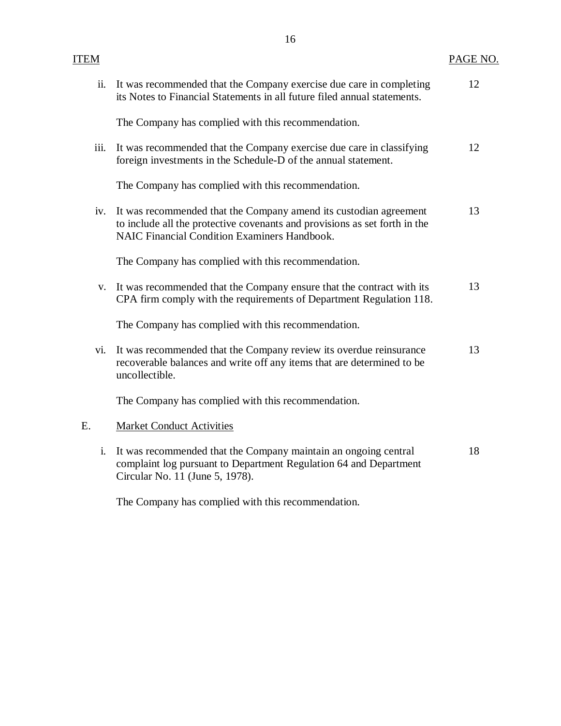|    | ii.  | It was recommended that the Company exercise due care in completing<br>its Notes to Financial Statements in all future filed annual statements.                                                        | 12 |
|----|------|--------------------------------------------------------------------------------------------------------------------------------------------------------------------------------------------------------|----|
|    |      | The Company has complied with this recommendation.                                                                                                                                                     |    |
|    | iii. | It was recommended that the Company exercise due care in classifying<br>foreign investments in the Schedule-D of the annual statement.                                                                 | 12 |
|    |      | The Company has complied with this recommendation.                                                                                                                                                     |    |
|    | iv.  | It was recommended that the Company amend its custodian agreement<br>to include all the protective covenants and provisions as set forth in the<br><b>NAIC Financial Condition Examiners Handbook.</b> | 13 |
|    |      | The Company has complied with this recommendation.                                                                                                                                                     |    |
|    | V.   | It was recommended that the Company ensure that the contract with its<br>CPA firm comply with the requirements of Department Regulation 118.                                                           | 13 |
|    |      | The Company has complied with this recommendation.                                                                                                                                                     |    |
|    | vi.  | It was recommended that the Company review its overdue reinsurance<br>recoverable balances and write off any items that are determined to be<br>uncollectible.                                         | 13 |
|    |      | The Company has complied with this recommendation.                                                                                                                                                     |    |
| E. |      | <b>Market Conduct Activities</b>                                                                                                                                                                       |    |
|    | i.   | It was recommended that the Company maintain an ongoing central<br>complaint log pursuant to Department Regulation 64 and Department<br>Circular No. 11 (June 5, 1978).                                | 18 |

The Company has complied with this recommendation.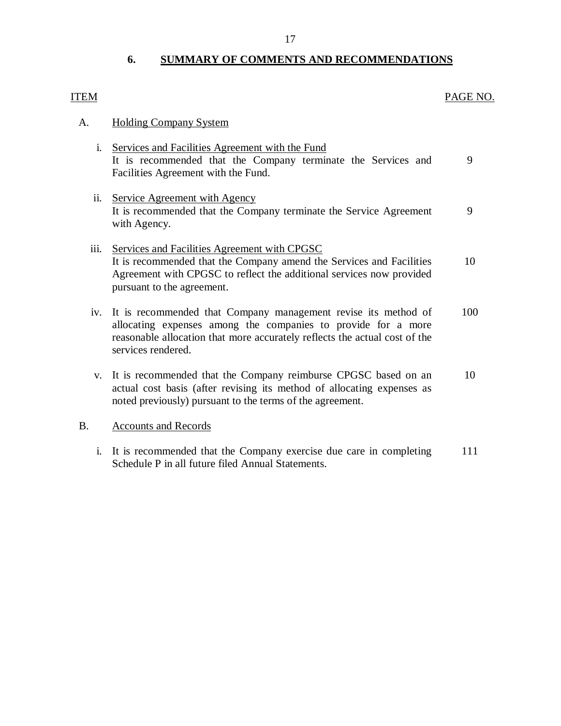## **6. SUMMARY OF COMMENTS AND RECOMMENDATIONS**

# <span id="page-18-0"></span>ITEM PAGE NO. A. Holding Company System

- i. Services and Facilities Agreement with the Fund It is recommended that the Company terminate the Services and 9 Facilities Agreement with the Fund. ii. Service Agreement with Agency It is recommended that the Company terminate the Service Agreement 9 with Agency. iii. Services and Facilities Agreement with CPGSC It is recommended that the Company amend the Services and Facilities 10 Agreement with CPGSC to reflect the additional services now provided pursuant to the agreement.
- iv. It is recommended that Company management revise its method of 100 allocating expenses among the companies to provide for a more reasonable allocation that more accurately reflects the actual cost of the services rendered.
- v. It is recommended that the Company reimburse CPGSC based on an 10 actual cost basis (after revising its method of allocating expenses as noted previously) pursuant to the terms of the agreement.

#### B. Accounts and Records

i. It is recommended that the Company exercise due care in completing 111 Schedule P in all future filed Annual Statements.

#### 17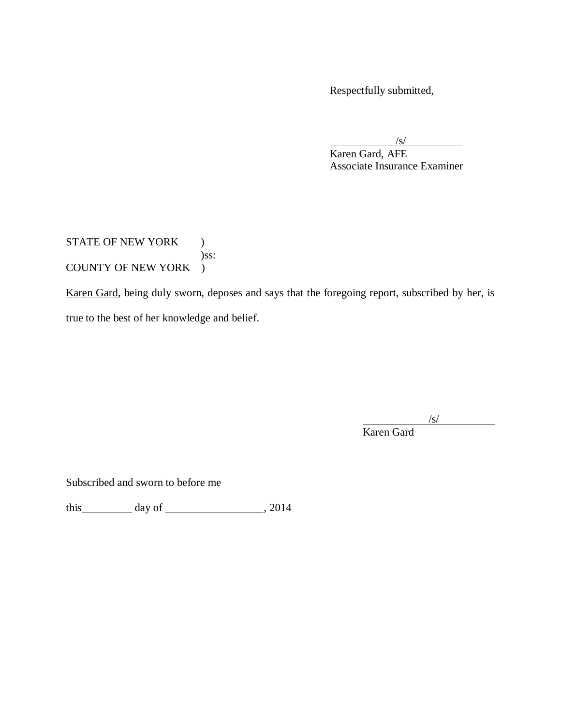Respectfully submitted,

/s/ Karen Gard, AFE Associate Insurance Examiner

## STATE OF NEW YORK ) )ss: COUNTY OF NEW YORK )

Karen Gard, being duly sworn, deposes and says that the foregoing report, subscribed by her, is true to the best of her knowledge and belief.

/s/

Karen Gard

Subscribed and sworn to before me

this day of , 2014